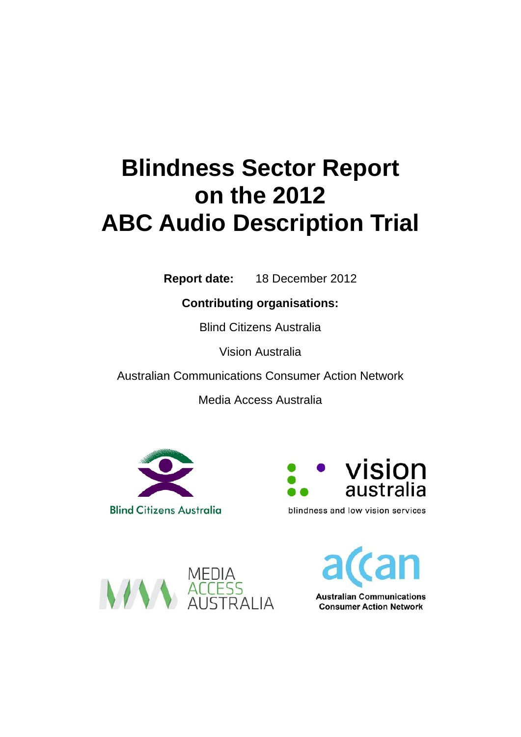# **Blindness Sector Report on the 2012 ABC Audio Description Trial**

**Report date:** 18 December 2012

**Contributing organisations:** 

Blind Citizens Australia

Vision Australia

Australian Communications Consumer Action Network

Media Access Australia





blindness and low vision services



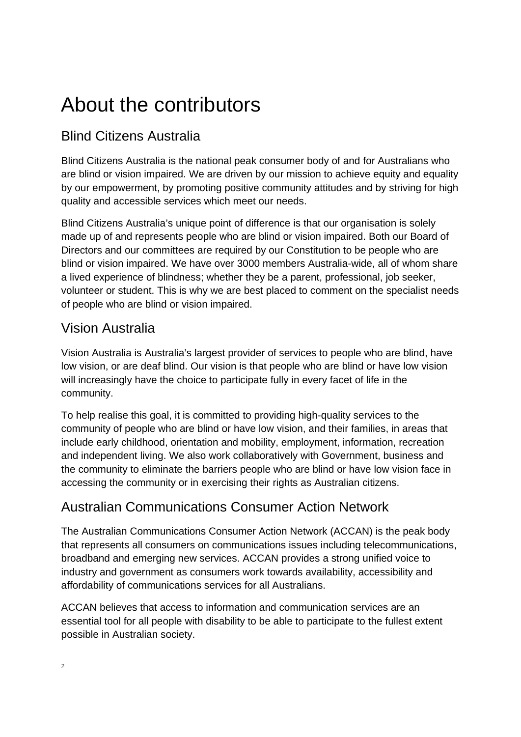## About the contributors

## Blind Citizens Australia

Blind Citizens Australia is the national peak consumer body of and for Australians who are blind or vision impaired. We are driven by our mission to achieve equity and equality by our empowerment, by promoting positive community attitudes and by striving for high quality and accessible services which meet our needs.

Blind Citizens Australia's unique point of difference is that our organisation is solely made up of and represents people who are blind or vision impaired. Both our Board of Directors and our committees are required by our Constitution to be people who are blind or vision impaired. We have over 3000 members Australia-wide, all of whom share a lived experience of blindness; whether they be a parent, professional, job seeker, volunteer or student. This is why we are best placed to comment on the specialist needs of people who are blind or vision impaired.

### Vision Australia

Vision Australia is Australia's largest provider of services to people who are blind, have low vision, or are deaf blind. Our vision is that people who are blind or have low vision will increasingly have the choice to participate fully in every facet of life in the community.

To help realise this goal, it is committed to providing high-quality services to the community of people who are blind or have low vision, and their families, in areas that include early childhood, orientation and mobility, employment, information, recreation and independent living. We also work collaboratively with Government, business and the community to eliminate the barriers people who are blind or have low vision face in accessing the community or in exercising their rights as Australian citizens.

### Australian Communications Consumer Action Network

The Australian Communications Consumer Action Network (ACCAN) is the peak body that represents all consumers on communications issues including telecommunications, broadband and emerging new services. ACCAN provides a strong unified voice to industry and government as consumers work towards availability, accessibility and affordability of communications services for all Australians.

ACCAN believes that access to information and communication services are an essential tool for all people with disability to be able to participate to the fullest extent possible in Australian society.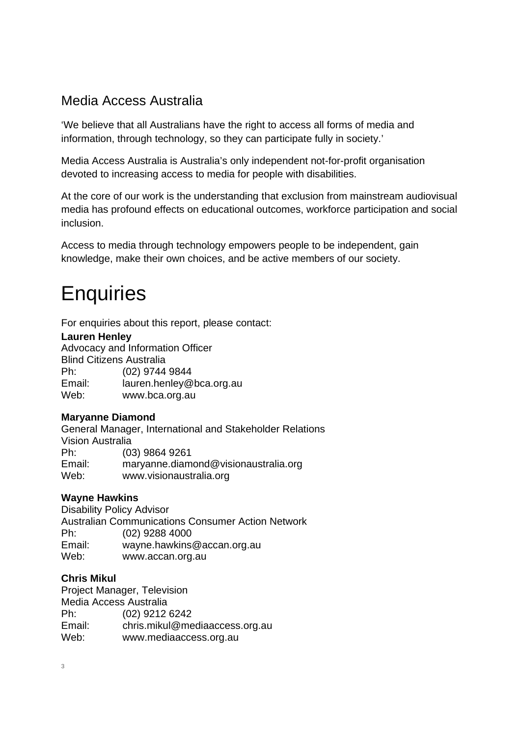#### Media Access Australia

'We believe that all Australians have the right to access all forms of media and information, through technology, so they can participate fully in society.'

Media Access Australia is Australia's only independent not-for-profit organisation devoted to increasing access to media for people with disabilities.

At the core of our work is the understanding that exclusion from mainstream audiovisual media has profound effects on educational outcomes, workforce participation and social inclusion.

Access to media through technology empowers people to be independent, gain knowledge, make their own choices, and be active members of our society.

## **Enquiries**

For enquiries about this report, please contact:

#### **Lauren Henley**

Advocacy and Information Officer Blind Citizens Australia Ph: (02) 9744 9844 Email: lauren.henley@bca.org.au Web: www.bca.org.au

#### **Maryanne Diamond**

General Manager, International and Stakeholder Relations Vision Australia Ph: (03) 9864 9261 Email: maryanne.diamond@visionaustralia.org Web: www.visionaustralia.org

#### **Wayne Hawkins**

Disability Policy Advisor Australian Communications Consumer Action Network Ph: (02) 9288 4000 Email: wayne.hawkins@accan.org.au Web: www.accan.org.au

#### **Chris Mikul**

Project Manager, Television Media Access Australia Ph: (02) 9212 6242 Email: chris.mikul@mediaaccess.org.au Web: www.mediaaccess.org.au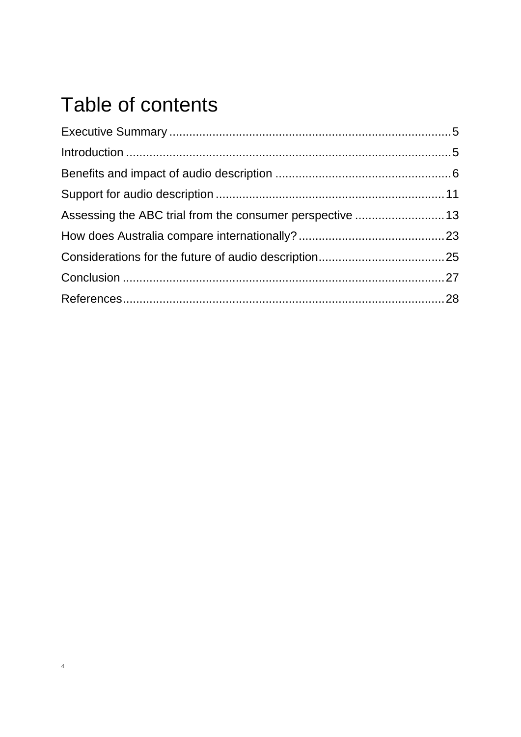## Table of contents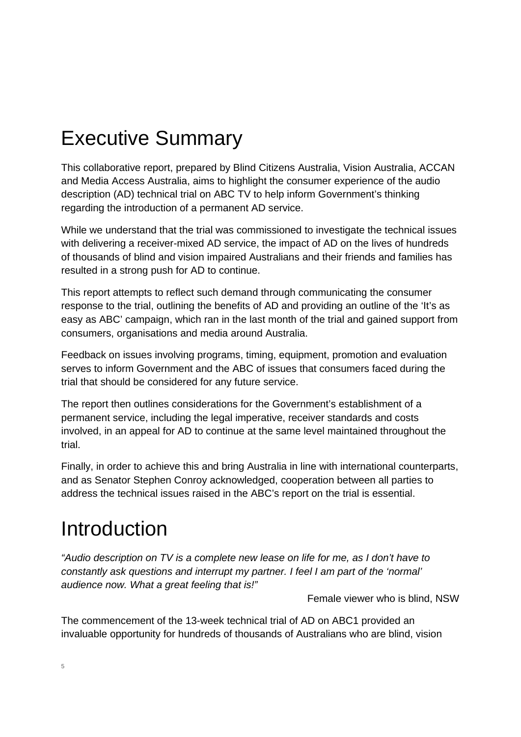## Executive Summary

This collaborative report, prepared by Blind Citizens Australia, Vision Australia, ACCAN and Media Access Australia, aims to highlight the consumer experience of the audio description (AD) technical trial on ABC TV to help inform Government's thinking regarding the introduction of a permanent AD service.

While we understand that the trial was commissioned to investigate the technical issues with delivering a receiver-mixed AD service, the impact of AD on the lives of hundreds of thousands of blind and vision impaired Australians and their friends and families has resulted in a strong push for AD to continue.

This report attempts to reflect such demand through communicating the consumer response to the trial, outlining the benefits of AD and providing an outline of the 'It's as easy as ABC' campaign, which ran in the last month of the trial and gained support from consumers, organisations and media around Australia.

Feedback on issues involving programs, timing, equipment, promotion and evaluation serves to inform Government and the ABC of issues that consumers faced during the trial that should be considered for any future service.

The report then outlines considerations for the Government's establishment of a permanent service, including the legal imperative, receiver standards and costs involved, in an appeal for AD to continue at the same level maintained throughout the trial.

Finally, in order to achieve this and bring Australia in line with international counterparts, and as Senator Stephen Conroy acknowledged, cooperation between all parties to address the technical issues raised in the ABC's report on the trial is essential.

## Introduction

*"Audio description on TV is a complete new lease on life for me, as I don't have to constantly ask questions and interrupt my partner. I feel I am part of the 'normal' audience now. What a great feeling that is!"* 

Female viewer who is blind, NSW

The commencement of the 13-week technical trial of AD on ABC1 provided an invaluable opportunity for hundreds of thousands of Australians who are blind, vision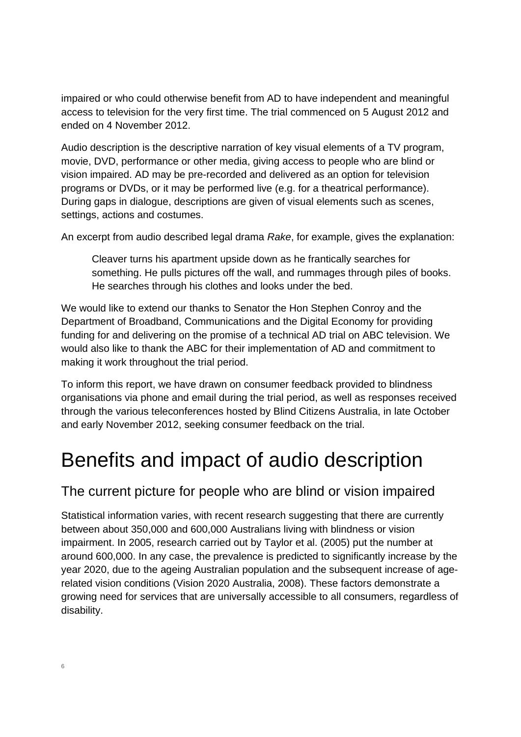impaired or who could otherwise benefit from AD to have independent and meaningful access to television for the very first time. The trial commenced on 5 August 2012 and ended on 4 November 2012.

Audio description is the descriptive narration of key visual elements of a TV program, movie, DVD, performance or other media, giving access to people who are blind or vision impaired. AD may be pre-recorded and delivered as an option for television programs or DVDs, or it may be performed live (e.g. for a theatrical performance). During gaps in dialogue, descriptions are given of visual elements such as scenes, settings, actions and costumes.

An excerpt from audio described legal drama *Rake*, for example, gives the explanation:

Cleaver turns his apartment upside down as he frantically searches for something. He pulls pictures off the wall, and rummages through piles of books. He searches through his clothes and looks under the bed.

We would like to extend our thanks to Senator the Hon Stephen Conroy and the Department of Broadband, Communications and the Digital Economy for providing funding for and delivering on the promise of a technical AD trial on ABC television. We would also like to thank the ABC for their implementation of AD and commitment to making it work throughout the trial period.

To inform this report, we have drawn on consumer feedback provided to blindness organisations via phone and email during the trial period, as well as responses received through the various teleconferences hosted by Blind Citizens Australia, in late October and early November 2012, seeking consumer feedback on the trial.

## Benefits and impact of audio description

### The current picture for people who are blind or vision impaired

Statistical information varies, with recent research suggesting that there are currently between about 350,000 and 600,000 Australians living with blindness or vision impairment. In 2005, research carried out by Taylor et al. (2005) put the number at around 600,000. In any case, the prevalence is predicted to significantly increase by the year 2020, due to the ageing Australian population and the subsequent increase of agerelated vision conditions (Vision 2020 Australia, 2008). These factors demonstrate a growing need for services that are universally accessible to all consumers, regardless of disability.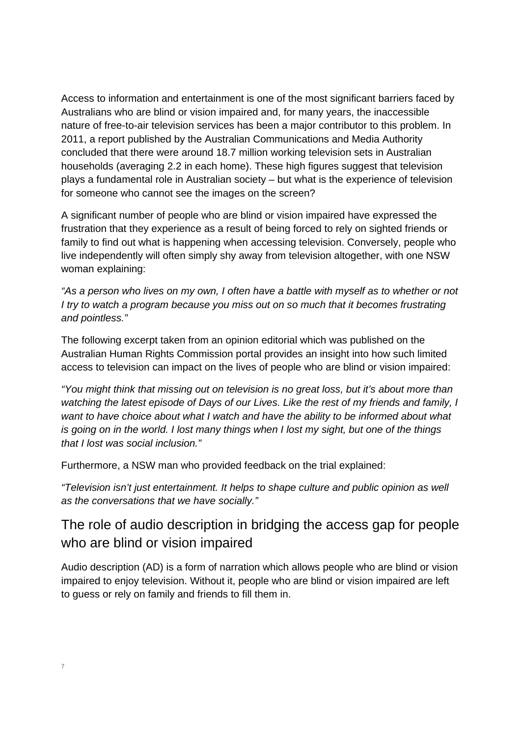Access to information and entertainment is one of the most significant barriers faced by Australians who are blind or vision impaired and, for many years, the inaccessible nature of free-to-air television services has been a major contributor to this problem. In 2011, a report published by the Australian Communications and Media Authority concluded that there were around 18.7 million working television sets in Australian households (averaging 2.2 in each home). These high figures suggest that television plays a fundamental role in Australian society – but what is the experience of television for someone who cannot see the images on the screen?

A significant number of people who are blind or vision impaired have expressed the frustration that they experience as a result of being forced to rely on sighted friends or family to find out what is happening when accessing television. Conversely, people who live independently will often simply shy away from television altogether, with one NSW woman explaining:

*"As a person who lives on my own, I often have a battle with myself as to whether or not I try to watch a program because you miss out on so much that it becomes frustrating and pointless."* 

The following excerpt taken from an opinion editorial which was published on the Australian Human Rights Commission portal provides an insight into how such limited access to television can impact on the lives of people who are blind or vision impaired:

*"You might think that missing out on television is no great loss, but it's about more than watching the latest episode of Days of our Lives. Like the rest of my friends and family, I want to have choice about what I watch and have the ability to be informed about what is going on in the world. I lost many things when I lost my sight, but one of the things that I lost was social inclusion."* 

Furthermore, a NSW man who provided feedback on the trial explained:

*"Television isn't just entertainment. It helps to shape culture and public opinion as well as the conversations that we have socially."* 

### The role of audio description in bridging the access gap for people who are blind or vision impaired

Audio description (AD) is a form of narration which allows people who are blind or vision impaired to enjoy television. Without it, people who are blind or vision impaired are left to guess or rely on family and friends to fill them in.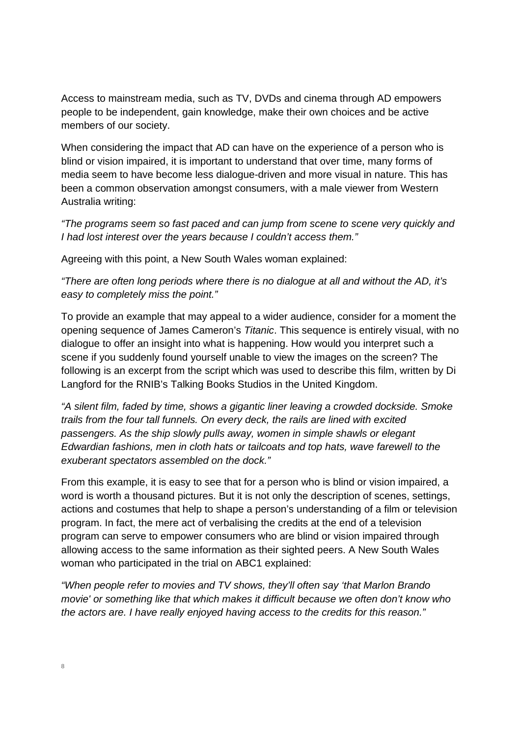Access to mainstream media, such as TV, DVDs and cinema through AD empowers people to be independent, gain knowledge, make their own choices and be active members of our society.

When considering the impact that AD can have on the experience of a person who is blind or vision impaired, it is important to understand that over time, many forms of media seem to have become less dialogue-driven and more visual in nature. This has been a common observation amongst consumers, with a male viewer from Western Australia writing:

*"The programs seem so fast paced and can jump from scene to scene very quickly and I had lost interest over the years because I couldn't access them."* 

Agreeing with this point, a New South Wales woman explained:

*"There are often long periods where there is no dialogue at all and without the AD, it's easy to completely miss the point."* 

To provide an example that may appeal to a wider audience, consider for a moment the opening sequence of James Cameron's *Titanic*. This sequence is entirely visual, with no dialogue to offer an insight into what is happening. How would you interpret such a scene if you suddenly found yourself unable to view the images on the screen? The following is an excerpt from the script which was used to describe this film, written by Di Langford for the RNIB's Talking Books Studios in the United Kingdom.

*"A silent film, faded by time, shows a gigantic liner leaving a crowded dockside. Smoke trails from the four tall funnels. On every deck, the rails are lined with excited passengers. As the ship slowly pulls away, women in simple shawls or elegant Edwardian fashions, men in cloth hats or tailcoats and top hats, wave farewell to the exuberant spectators assembled on the dock."* 

From this example, it is easy to see that for a person who is blind or vision impaired, a word is worth a thousand pictures. But it is not only the description of scenes, settings, actions and costumes that help to shape a person's understanding of a film or television program. In fact, the mere act of verbalising the credits at the end of a television program can serve to empower consumers who are blind or vision impaired through allowing access to the same information as their sighted peers. A New South Wales woman who participated in the trial on ABC1 explained:

*"When people refer to movies and TV shows, they'll often say 'that Marlon Brando movie' or something like that which makes it difficult because we often don't know who the actors are. I have really enjoyed having access to the credits for this reason."*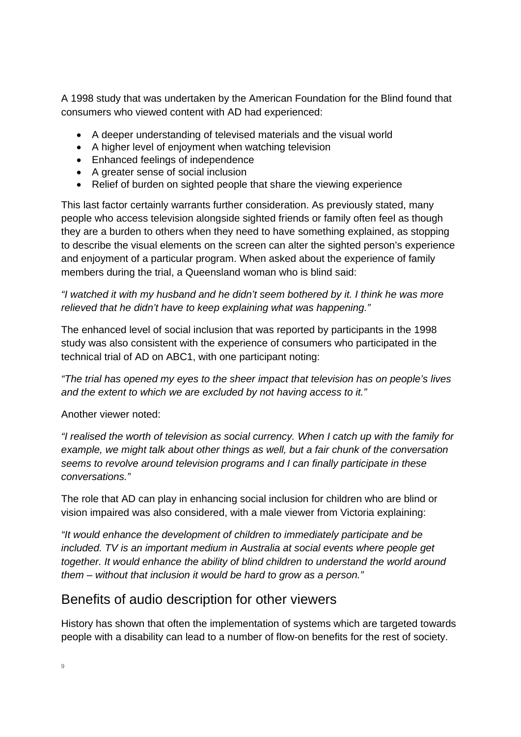A 1998 study that was undertaken by the American Foundation for the Blind found that consumers who viewed content with AD had experienced:

- A deeper understanding of televised materials and the visual world
- A higher level of enjoyment when watching television
- Enhanced feelings of independence
- A greater sense of social inclusion
- Relief of burden on sighted people that share the viewing experience

This last factor certainly warrants further consideration. As previously stated, many people who access television alongside sighted friends or family often feel as though they are a burden to others when they need to have something explained, as stopping to describe the visual elements on the screen can alter the sighted person's experience and enjoyment of a particular program. When asked about the experience of family members during the trial, a Queensland woman who is blind said:

*"I watched it with my husband and he didn't seem bothered by it. I think he was more relieved that he didn't have to keep explaining what was happening."* 

The enhanced level of social inclusion that was reported by participants in the 1998 study was also consistent with the experience of consumers who participated in the technical trial of AD on ABC1, with one participant noting:

*"The trial has opened my eyes to the sheer impact that television has on people's lives and the extent to which we are excluded by not having access to it."* 

Another viewer noted:

*"I realised the worth of television as social currency. When I catch up with the family for example, we might talk about other things as well, but a fair chunk of the conversation seems to revolve around television programs and I can finally participate in these conversations."* 

The role that AD can play in enhancing social inclusion for children who are blind or vision impaired was also considered, with a male viewer from Victoria explaining:

*"It would enhance the development of children to immediately participate and be included. TV is an important medium in Australia at social events where people get together. It would enhance the ability of blind children to understand the world around them – without that inclusion it would be hard to grow as a person."* 

#### Benefits of audio description for other viewers

History has shown that often the implementation of systems which are targeted towards people with a disability can lead to a number of flow-on benefits for the rest of society.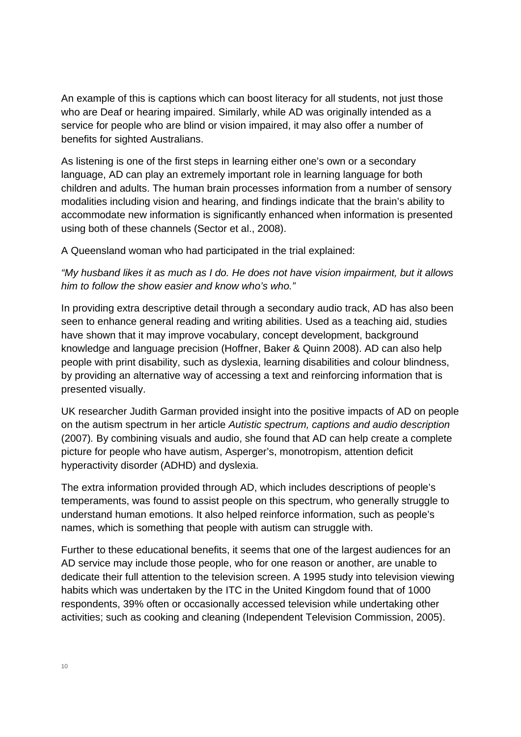An example of this is captions which can boost literacy for all students, not just those who are Deaf or hearing impaired. Similarly, while AD was originally intended as a service for people who are blind or vision impaired, it may also offer a number of benefits for sighted Australians.

As listening is one of the first steps in learning either one's own or a secondary language, AD can play an extremely important role in learning language for both children and adults. The human brain processes information from a number of sensory modalities including vision and hearing, and findings indicate that the brain's ability to accommodate new information is significantly enhanced when information is presented using both of these channels (Sector et al., 2008).

A Queensland woman who had participated in the trial explained:

*"My husband likes it as much as I do. He does not have vision impairment, but it allows him to follow the show easier and know who's who."* 

In providing extra descriptive detail through a secondary audio track, AD has also been seen to enhance general reading and writing abilities. Used as a teaching aid, studies have shown that it may improve vocabulary, concept development, background knowledge and language precision (Hoffner, Baker & Quinn 2008). AD can also help people with print disability, such as dyslexia, learning disabilities and colour blindness, by providing an alternative way of accessing a text and reinforcing information that is presented visually.

UK researcher Judith Garman provided insight into the positive impacts of AD on people on the autism spectrum in her article *Autistic spectrum, captions and audio description* (2007)*.* By combining visuals and audio, she found that AD can help create a complete picture for people who have autism, Asperger's, monotropism, attention deficit hyperactivity disorder (ADHD) and dyslexia.

The extra information provided through AD, which includes descriptions of people's temperaments, was found to assist people on this spectrum, who generally struggle to understand human emotions. It also helped reinforce information, such as people's names, which is something that people with autism can struggle with.

Further to these educational benefits, it seems that one of the largest audiences for an AD service may include those people, who for one reason or another, are unable to dedicate their full attention to the television screen. A 1995 study into television viewing habits which was undertaken by the ITC in the United Kingdom found that of 1000 respondents, 39% often or occasionally accessed television while undertaking other activities; such as cooking and cleaning (Independent Television Commission, 2005).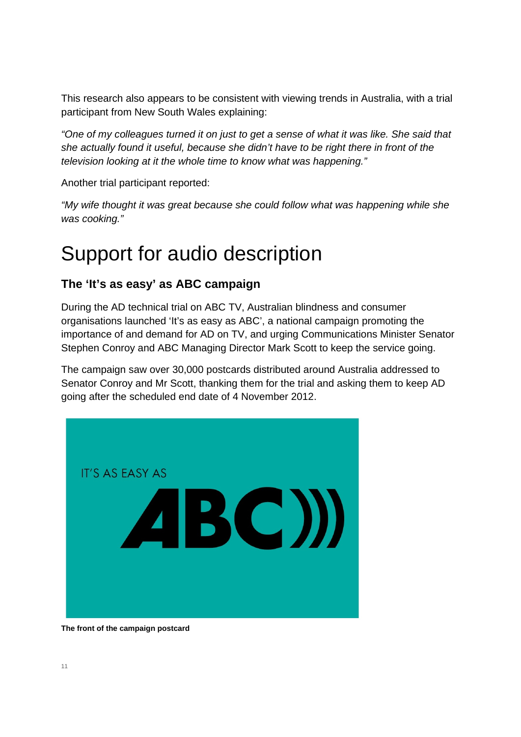This research also appears to be consistent with viewing trends in Australia, with a trial participant from New South Wales explaining:

*"One of my colleagues turned it on just to get a sense of what it was like. She said that she actually found it useful, because she didn't have to be right there in front of the television looking at it the whole time to know what was happening."* 

Another trial participant reported:

*"My wife thought it was great because she could follow what was happening while she was cooking."* 

## Support for audio description

#### **The 'It's as easy' as ABC campaign**

During the AD technical trial on ABC TV, Australian blindness and consumer organisations launched 'It's as easy as ABC', a national campaign promoting the importance of and demand for AD on TV, and urging Communications Minister Senator Stephen Conroy and ABC Managing Director Mark Scott to keep the service going.

The campaign saw over 30,000 postcards distributed around Australia addressed to Senator Conroy and Mr Scott, thanking them for the trial and asking them to keep AD going after the scheduled end date of 4 November 2012.



**The front of the campaign postcard**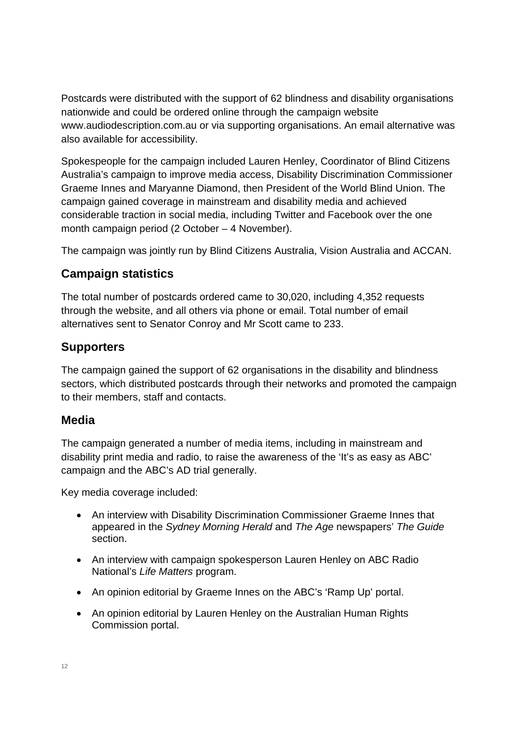Postcards were distributed with the support of 62 blindness and disability organisations nationwide and could be ordered online through the campaign website www.audiodescription.com.au or via supporting organisations. An email alternative was also available for accessibility.

Spokespeople for the campaign included Lauren Henley, Coordinator of Blind Citizens Australia's campaign to improve media access, Disability Discrimination Commissioner Graeme Innes and Maryanne Diamond, then President of the World Blind Union. The campaign gained coverage in mainstream and disability media and achieved considerable traction in social media, including Twitter and Facebook over the one month campaign period (2 October – 4 November).

The campaign was jointly run by Blind Citizens Australia, Vision Australia and ACCAN.

#### **Campaign statistics**

The total number of postcards ordered came to 30,020, including 4,352 requests through the website, and all others via phone or email. Total number of email alternatives sent to Senator Conroy and Mr Scott came to 233.

#### **Supporters**

The campaign gained the support of 62 organisations in the disability and blindness sectors, which distributed postcards through their networks and promoted the campaign to their members, staff and contacts.

#### **Media**

The campaign generated a number of media items, including in mainstream and disability print media and radio, to raise the awareness of the 'It's as easy as ABC' campaign and the ABC's AD trial generally.

Key media coverage included:

- An interview with Disability Discrimination Commissioner Graeme Innes that appeared in the *Sydney Morning Herald* and *The Age* newspapers' *The Guide* section.
- An interview with campaign spokesperson Lauren Henley on ABC Radio National's *Life Matters* program.
- An opinion editorial by Graeme Innes on the ABC's 'Ramp Up' portal.
- An opinion editorial by Lauren Henley on the Australian Human Rights Commission portal.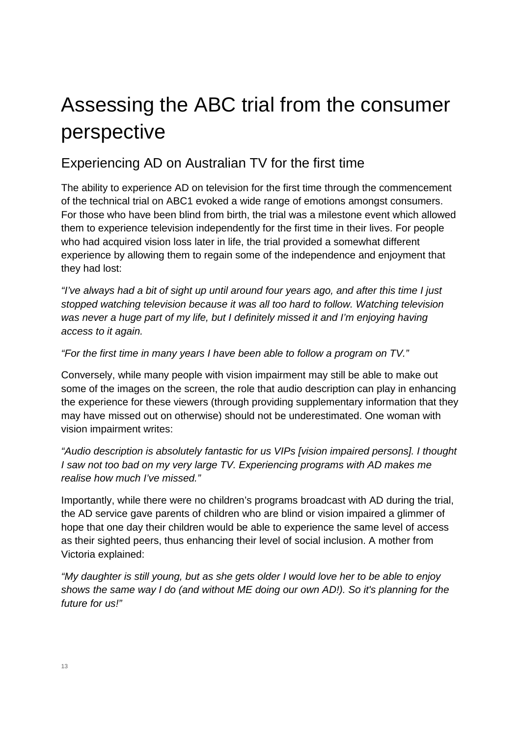## Assessing the ABC trial from the consumer perspective

#### Experiencing AD on Australian TV for the first time

The ability to experience AD on television for the first time through the commencement of the technical trial on ABC1 evoked a wide range of emotions amongst consumers. For those who have been blind from birth, the trial was a milestone event which allowed them to experience television independently for the first time in their lives. For people who had acquired vision loss later in life, the trial provided a somewhat different experience by allowing them to regain some of the independence and enjoyment that they had lost:

*"I've always had a bit of sight up until around four years ago, and after this time I just stopped watching television because it was all too hard to follow. Watching television*  was never a huge part of my life, but I definitely missed it and I'm enjoying having *access to it again.* 

#### *"For the first time in many years I have been able to follow a program on TV."*

Conversely, while many people with vision impairment may still be able to make out some of the images on the screen, the role that audio description can play in enhancing the experience for these viewers (through providing supplementary information that they may have missed out on otherwise) should not be underestimated. One woman with vision impairment writes:

*"Audio description is absolutely fantastic for us VIPs [vision impaired persons]. I thought I* saw not too bad on my very large TV. Experiencing programs with AD makes me *realise how much I've missed."*

Importantly, while there were no children's programs broadcast with AD during the trial, the AD service gave parents of children who are blind or vision impaired a glimmer of hope that one day their children would be able to experience the same level of access as their sighted peers, thus enhancing their level of social inclusion. A mother from Victoria explained:

*"My daughter is still young, but as she gets older I would love her to be able to enjoy shows the same way I do (and without ME doing our own AD!). So it's planning for the future for us!"*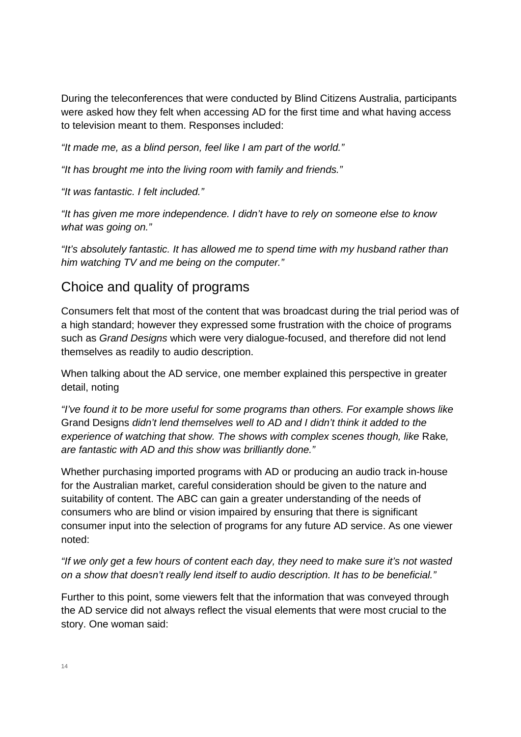During the teleconferences that were conducted by Blind Citizens Australia, participants were asked how they felt when accessing AD for the first time and what having access to television meant to them. Responses included:

*"It made me, as a blind person, feel like I am part of the world."* 

*"It has brought me into the living room with family and friends."* 

*"It was fantastic. I felt included."* 

*"It has given me more independence. I didn't have to rely on someone else to know what was going on."* 

*"It's absolutely fantastic. It has allowed me to spend time with my husband rather than him watching TV and me being on the computer."* 

#### Choice and quality of programs

Consumers felt that most of the content that was broadcast during the trial period was of a high standard; however they expressed some frustration with the choice of programs such as *Grand Designs* which were very dialogue-focused, and therefore did not lend themselves as readily to audio description.

When talking about the AD service, one member explained this perspective in greater detail, noting

*"I've found it to be more useful for some programs than others. For example shows like*  Grand Designs *didn't lend themselves well to AD and I didn't think it added to the experience of watching that show. The shows with complex scenes though, like Rake, are fantastic with AD and this show was brilliantly done."* 

Whether purchasing imported programs with AD or producing an audio track in-house for the Australian market, careful consideration should be given to the nature and suitability of content. The ABC can gain a greater understanding of the needs of consumers who are blind or vision impaired by ensuring that there is significant consumer input into the selection of programs for any future AD service. As one viewer noted:

*"If we only get a few hours of content each day, they need to make sure it's not wasted on a show that doesn't really lend itself to audio description. It has to be beneficial."* 

Further to this point, some viewers felt that the information that was conveyed through the AD service did not always reflect the visual elements that were most crucial to the story. One woman said: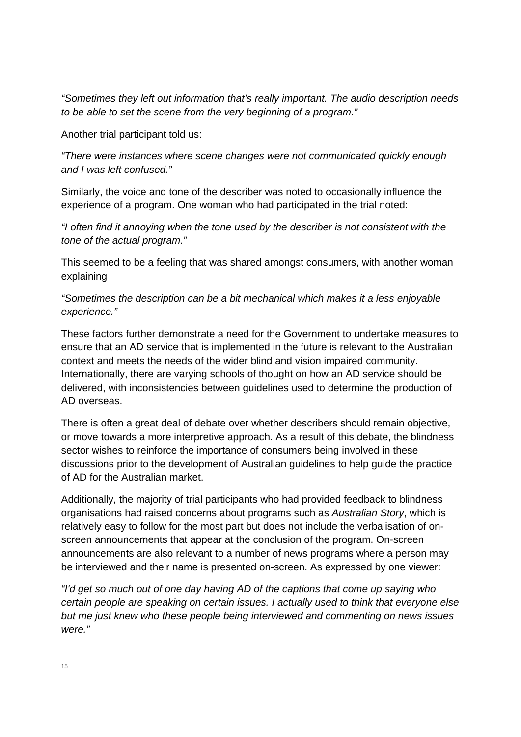*"Sometimes they left out information that's really important. The audio description needs to be able to set the scene from the very beginning of a program."* 

Another trial participant told us:

*"There were instances where scene changes were not communicated quickly enough and I was left confused."* 

Similarly, the voice and tone of the describer was noted to occasionally influence the experience of a program. One woman who had participated in the trial noted:

*"I often find it annoying when the tone used by the describer is not consistent with the tone of the actual program."* 

This seemed to be a feeling that was shared amongst consumers, with another woman explaining

*"Sometimes the description can be a bit mechanical which makes it a less enjoyable experience."* 

These factors further demonstrate a need for the Government to undertake measures to ensure that an AD service that is implemented in the future is relevant to the Australian context and meets the needs of the wider blind and vision impaired community. Internationally, there are varying schools of thought on how an AD service should be delivered, with inconsistencies between guidelines used to determine the production of AD overseas.

There is often a great deal of debate over whether describers should remain objective, or move towards a more interpretive approach. As a result of this debate, the blindness sector wishes to reinforce the importance of consumers being involved in these discussions prior to the development of Australian guidelines to help guide the practice of AD for the Australian market.

Additionally, the majority of trial participants who had provided feedback to blindness organisations had raised concerns about programs such as *Australian Story*, which is relatively easy to follow for the most part but does not include the verbalisation of onscreen announcements that appear at the conclusion of the program. On-screen announcements are also relevant to a number of news programs where a person may be interviewed and their name is presented on-screen. As expressed by one viewer:

*"I'd get so much out of one day having AD of the captions that come up saying who certain people are speaking on certain issues. I actually used to think that everyone else but me just knew who these people being interviewed and commenting on news issues were."*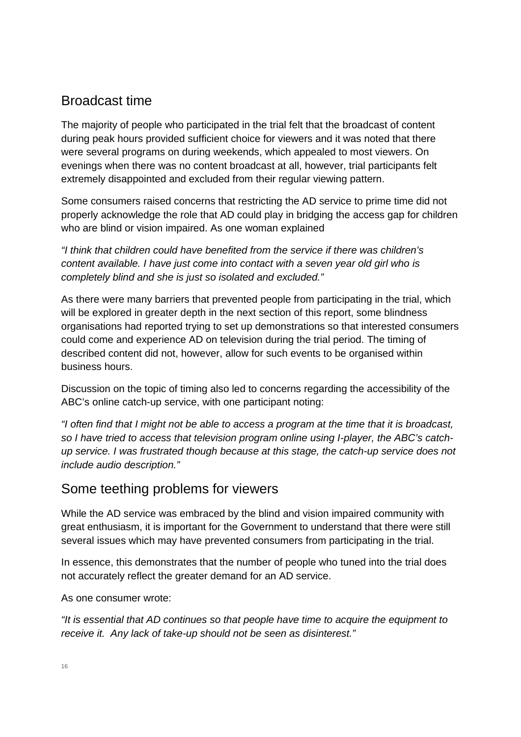#### Broadcast time

The majority of people who participated in the trial felt that the broadcast of content during peak hours provided sufficient choice for viewers and it was noted that there were several programs on during weekends, which appealed to most viewers. On evenings when there was no content broadcast at all, however, trial participants felt extremely disappointed and excluded from their regular viewing pattern.

Some consumers raised concerns that restricting the AD service to prime time did not properly acknowledge the role that AD could play in bridging the access gap for children who are blind or vision impaired. As one woman explained

*"I think that children could have benefited from the service if there was children's content available. I have just come into contact with a seven year old girl who is completely blind and she is just so isolated and excluded."*

As there were many barriers that prevented people from participating in the trial, which will be explored in greater depth in the next section of this report, some blindness organisations had reported trying to set up demonstrations so that interested consumers could come and experience AD on television during the trial period. The timing of described content did not, however, allow for such events to be organised within business hours.

Discussion on the topic of timing also led to concerns regarding the accessibility of the ABC's online catch-up service, with one participant noting:

*"I often find that I might not be able to access a program at the time that it is broadcast, so I have tried to access that television program online using I-player, the ABC's catchup service. I was frustrated though because at this stage, the catch-up service does not include audio description."* 

### Some teething problems for viewers

While the AD service was embraced by the blind and vision impaired community with great enthusiasm, it is important for the Government to understand that there were still several issues which may have prevented consumers from participating in the trial.

In essence, this demonstrates that the number of people who tuned into the trial does not accurately reflect the greater demand for an AD service.

As one consumer wrote:

*"It is essential that AD continues so that people have time to acquire the equipment to receive it. Any lack of take-up should not be seen as disinterest."*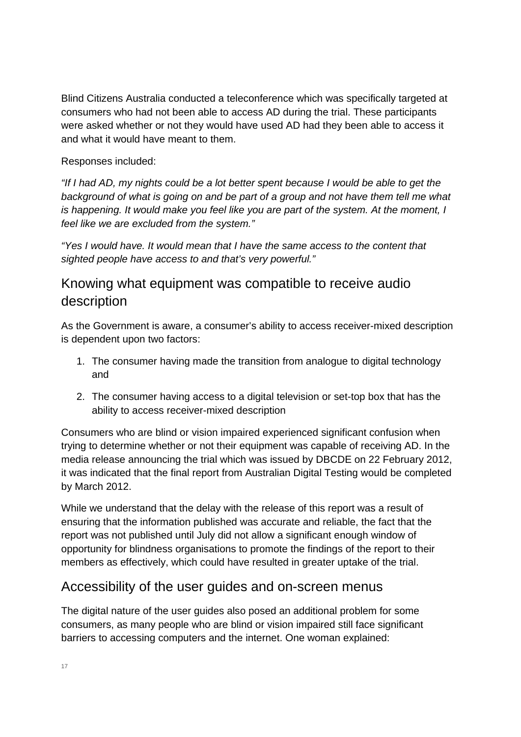Blind Citizens Australia conducted a teleconference which was specifically targeted at consumers who had not been able to access AD during the trial. These participants were asked whether or not they would have used AD had they been able to access it and what it would have meant to them.

#### Responses included:

*"If I had AD, my nights could be a lot better spent because I would be able to get the background of what is going on and be part of a group and not have them tell me what is happening. It would make you feel like you are part of the system. At the moment, I feel like we are excluded from the system."* 

*"Yes I would have. It would mean that I have the same access to the content that sighted people have access to and that's very powerful."* 

#### Knowing what equipment was compatible to receive audio description

As the Government is aware, a consumer's ability to access receiver-mixed description is dependent upon two factors:

- 1. The consumer having made the transition from analogue to digital technology and
- 2. The consumer having access to a digital television or set-top box that has the ability to access receiver-mixed description

Consumers who are blind or vision impaired experienced significant confusion when trying to determine whether or not their equipment was capable of receiving AD. In the media release announcing the trial which was issued by DBCDE on 22 February 2012, it was indicated that the final report from Australian Digital Testing would be completed by March 2012.

While we understand that the delay with the release of this report was a result of ensuring that the information published was accurate and reliable, the fact that the report was not published until July did not allow a significant enough window of opportunity for blindness organisations to promote the findings of the report to their members as effectively, which could have resulted in greater uptake of the trial.

#### Accessibility of the user guides and on-screen menus

The digital nature of the user guides also posed an additional problem for some consumers, as many people who are blind or vision impaired still face significant barriers to accessing computers and the internet. One woman explained: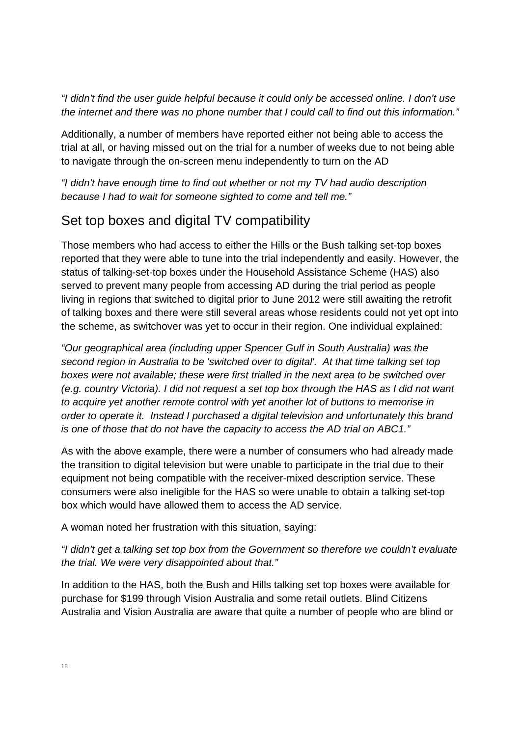*"I didn't find the user guide helpful because it could only be accessed online. I don't use the internet and there was no phone number that I could call to find out this information."* 

Additionally, a number of members have reported either not being able to access the trial at all, or having missed out on the trial for a number of weeks due to not being able to navigate through the on-screen menu independently to turn on the AD

*"I didn't have enough time to find out whether or not my TV had audio description because I had to wait for someone sighted to come and tell me."* 

### Set top boxes and digital TV compatibility

Those members who had access to either the Hills or the Bush talking set-top boxes reported that they were able to tune into the trial independently and easily. However, the status of talking-set-top boxes under the Household Assistance Scheme (HAS) also served to prevent many people from accessing AD during the trial period as people living in regions that switched to digital prior to June 2012 were still awaiting the retrofit of talking boxes and there were still several areas whose residents could not yet opt into the scheme, as switchover was yet to occur in their region. One individual explained:

*"Our geographical area (including upper Spencer Gulf in South Australia) was the second region in Australia to be 'switched over to digital'. At that time talking set top boxes were not available; these were first trialled in the next area to be switched over (e.g. country Victoria). I did not request a set top box through the HAS as I did not want to acquire yet another remote control with yet another lot of buttons to memorise in order to operate it. Instead I purchased a digital television and unfortunately this brand is one of those that do not have the capacity to access the AD trial on ABC1."* 

As with the above example, there were a number of consumers who had already made the transition to digital television but were unable to participate in the trial due to their equipment not being compatible with the receiver-mixed description service. These consumers were also ineligible for the HAS so were unable to obtain a talking set-top box which would have allowed them to access the AD service.

A woman noted her frustration with this situation, saying:

*"I didn't get a talking set top box from the Government so therefore we couldn't evaluate the trial. We were very disappointed about that."* 

In addition to the HAS, both the Bush and Hills talking set top boxes were available for purchase for \$199 through Vision Australia and some retail outlets. Blind Citizens Australia and Vision Australia are aware that quite a number of people who are blind or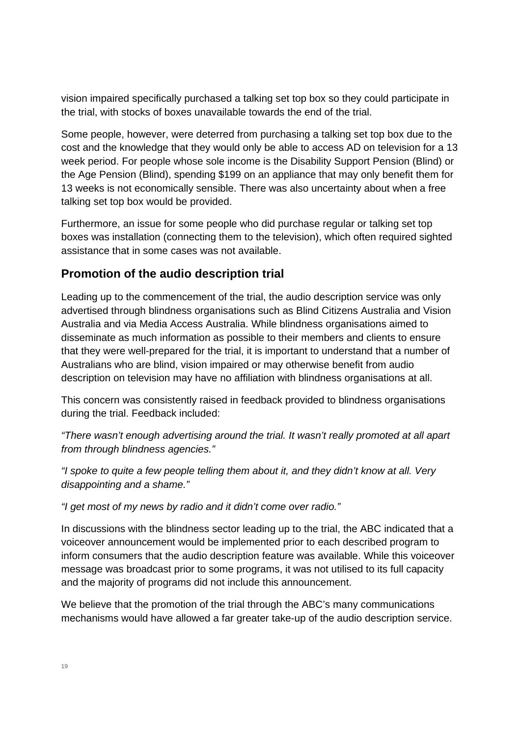vision impaired specifically purchased a talking set top box so they could participate in the trial, with stocks of boxes unavailable towards the end of the trial.

Some people, however, were deterred from purchasing a talking set top box due to the cost and the knowledge that they would only be able to access AD on television for a 13 week period. For people whose sole income is the Disability Support Pension (Blind) or the Age Pension (Blind), spending \$199 on an appliance that may only benefit them for 13 weeks is not economically sensible. There was also uncertainty about when a free talking set top box would be provided.

Furthermore, an issue for some people who did purchase regular or talking set top boxes was installation (connecting them to the television), which often required sighted assistance that in some cases was not available.

#### **Promotion of the audio description trial**

Leading up to the commencement of the trial, the audio description service was only advertised through blindness organisations such as Blind Citizens Australia and Vision Australia and via Media Access Australia. While blindness organisations aimed to disseminate as much information as possible to their members and clients to ensure that they were well-prepared for the trial, it is important to understand that a number of Australians who are blind, vision impaired or may otherwise benefit from audio description on television may have no affiliation with blindness organisations at all.

This concern was consistently raised in feedback provided to blindness organisations during the trial. Feedback included:

*"There wasn't enough advertising around the trial. It wasn't really promoted at all apart from through blindness agencies."* 

*"I spoke to quite a few people telling them about it, and they didn't know at all. Very disappointing and a shame."* 

*"I get most of my news by radio and it didn't come over radio."* 

In discussions with the blindness sector leading up to the trial, the ABC indicated that a voiceover announcement would be implemented prior to each described program to inform consumers that the audio description feature was available. While this voiceover message was broadcast prior to some programs, it was not utilised to its full capacity and the majority of programs did not include this announcement.

We believe that the promotion of the trial through the ABC's many communications mechanisms would have allowed a far greater take-up of the audio description service.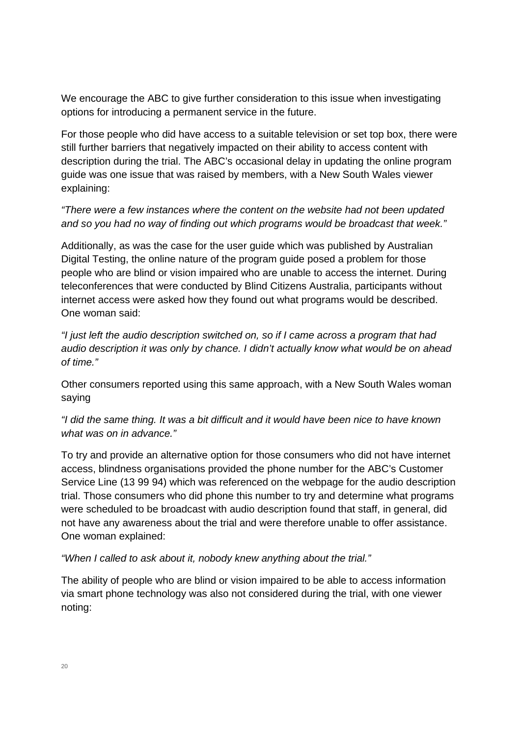We encourage the ABC to give further consideration to this issue when investigating options for introducing a permanent service in the future.

For those people who did have access to a suitable television or set top box, there were still further barriers that negatively impacted on their ability to access content with description during the trial. The ABC's occasional delay in updating the online program guide was one issue that was raised by members, with a New South Wales viewer explaining:

#### *"There were a few instances where the content on the website had not been updated and so you had no way of finding out which programs would be broadcast that week."*

Additionally, as was the case for the user guide which was published by Australian Digital Testing, the online nature of the program guide posed a problem for those people who are blind or vision impaired who are unable to access the internet. During teleconferences that were conducted by Blind Citizens Australia, participants without internet access were asked how they found out what programs would be described. One woman said:

*"I just left the audio description switched on, so if I came across a program that had audio description it was only by chance. I didn't actually know what would be on ahead of time."* 

Other consumers reported using this same approach, with a New South Wales woman saying

*"I did the same thing. It was a bit difficult and it would have been nice to have known what was on in advance."* 

To try and provide an alternative option for those consumers who did not have internet access, blindness organisations provided the phone number for the ABC's Customer Service Line (13 99 94) which was referenced on the webpage for the audio description trial. Those consumers who did phone this number to try and determine what programs were scheduled to be broadcast with audio description found that staff, in general, did not have any awareness about the trial and were therefore unable to offer assistance. One woman explained:

*"When I called to ask about it, nobody knew anything about the trial."* 

The ability of people who are blind or vision impaired to be able to access information via smart phone technology was also not considered during the trial, with one viewer noting: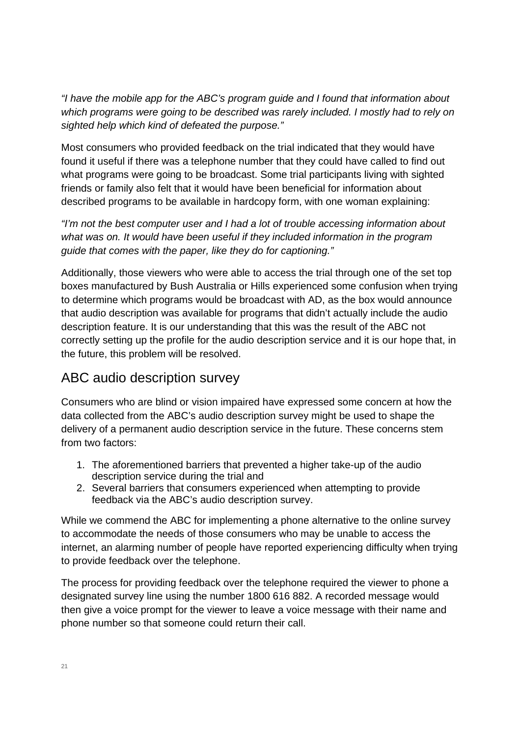*"I have the mobile app for the ABC's program guide and I found that information about which programs were going to be described was rarely included. I mostly had to rely on sighted help which kind of defeated the purpose."* 

Most consumers who provided feedback on the trial indicated that they would have found it useful if there was a telephone number that they could have called to find out what programs were going to be broadcast. Some trial participants living with sighted friends or family also felt that it would have been beneficial for information about described programs to be available in hardcopy form, with one woman explaining:

*"I'm not the best computer user and I had a lot of trouble accessing information about what was on. It would have been useful if they included information in the program guide that comes with the paper, like they do for captioning."* 

Additionally, those viewers who were able to access the trial through one of the set top boxes manufactured by Bush Australia or Hills experienced some confusion when trying to determine which programs would be broadcast with AD, as the box would announce that audio description was available for programs that didn't actually include the audio description feature. It is our understanding that this was the result of the ABC not correctly setting up the profile for the audio description service and it is our hope that, in the future, this problem will be resolved.

### ABC audio description survey

Consumers who are blind or vision impaired have expressed some concern at how the data collected from the ABC's audio description survey might be used to shape the delivery of a permanent audio description service in the future. These concerns stem from two factors:

- 1. The aforementioned barriers that prevented a higher take-up of the audio description service during the trial and
- 2. Several barriers that consumers experienced when attempting to provide feedback via the ABC's audio description survey.

While we commend the ABC for implementing a phone alternative to the online survey to accommodate the needs of those consumers who may be unable to access the internet, an alarming number of people have reported experiencing difficulty when trying to provide feedback over the telephone.

The process for providing feedback over the telephone required the viewer to phone a designated survey line using the number 1800 616 882. A recorded message would then give a voice prompt for the viewer to leave a voice message with their name and phone number so that someone could return their call.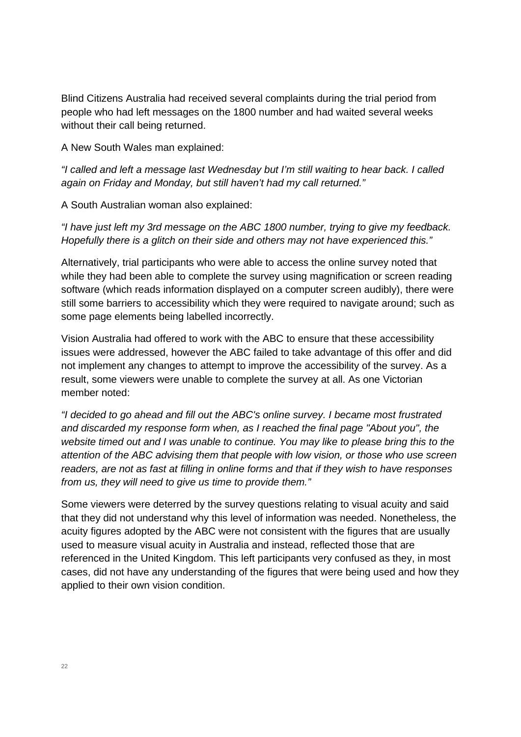Blind Citizens Australia had received several complaints during the trial period from people who had left messages on the 1800 number and had waited several weeks without their call being returned.

A New South Wales man explained:

*"I called and left a message last Wednesday but I'm still waiting to hear back. I called again on Friday and Monday, but still haven't had my call returned."* 

A South Australian woman also explained:

*"I have just left my 3rd message on the ABC 1800 number, trying to give my feedback. Hopefully there is a glitch on their side and others may not have experienced this."* 

Alternatively, trial participants who were able to access the online survey noted that while they had been able to complete the survey using magnification or screen reading software (which reads information displayed on a computer screen audibly), there were still some barriers to accessibility which they were required to navigate around; such as some page elements being labelled incorrectly.

Vision Australia had offered to work with the ABC to ensure that these accessibility issues were addressed, however the ABC failed to take advantage of this offer and did not implement any changes to attempt to improve the accessibility of the survey. As a result, some viewers were unable to complete the survey at all. As one Victorian member noted:

*"I decided to go ahead and fill out the ABC's online survey. I became most frustrated and discarded my response form when, as I reached the final page "About you", the website timed out and I was unable to continue. You may like to please bring this to the attention of the ABC advising them that people with low vision, or those who use screen readers, are not as fast at filling in online forms and that if they wish to have responses from us, they will need to give us time to provide them."* 

Some viewers were deterred by the survey questions relating to visual acuity and said that they did not understand why this level of information was needed. Nonetheless, the acuity figures adopted by the ABC were not consistent with the figures that are usually used to measure visual acuity in Australia and instead, reflected those that are referenced in the United Kingdom. This left participants very confused as they, in most cases, did not have any understanding of the figures that were being used and how they applied to their own vision condition.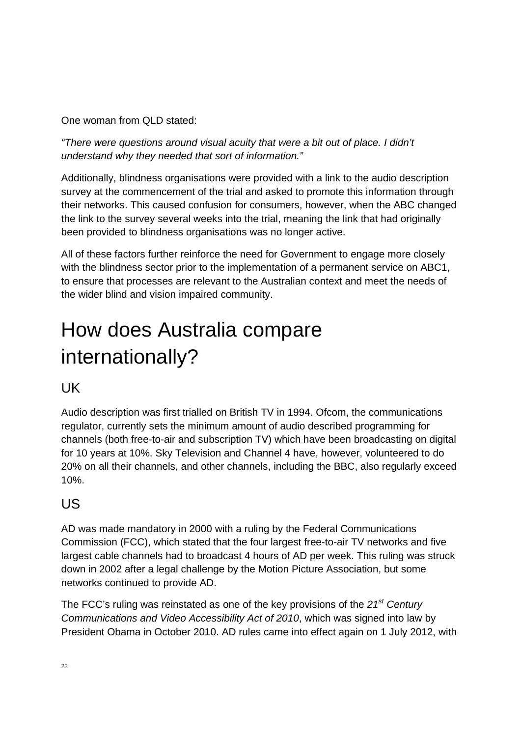One woman from QLD stated:

*"There were questions around visual acuity that were a bit out of place. I didn't understand why they needed that sort of information."* 

Additionally, blindness organisations were provided with a link to the audio description survey at the commencement of the trial and asked to promote this information through their networks. This caused confusion for consumers, however, when the ABC changed the link to the survey several weeks into the trial, meaning the link that had originally been provided to blindness organisations was no longer active.

All of these factors further reinforce the need for Government to engage more closely with the blindness sector prior to the implementation of a permanent service on ABC1, to ensure that processes are relevant to the Australian context and meet the needs of the wider blind and vision impaired community.

# How does Australia compare internationally?

### UK

Audio description was first trialled on British TV in 1994. Ofcom, the communications regulator, currently sets the minimum amount of audio described programming for channels (both free-to-air and subscription TV) which have been broadcasting on digital for 10 years at 10%. Sky Television and Channel 4 have, however, volunteered to do 20% on all their channels, and other channels, including the BBC, also regularly exceed 10%.

### US

AD was made mandatory in 2000 with a ruling by the Federal Communications Commission (FCC), which stated that the four largest free-to-air TV networks and five largest cable channels had to broadcast 4 hours of AD per week. This ruling was struck down in 2002 after a legal challenge by the Motion Picture Association, but some networks continued to provide AD.

The FCC's ruling was reinstated as one of the key provisions of the *21st Century Communications and Video Accessibility Act of 2010*, which was signed into law by President Obama in October 2010. AD rules came into effect again on 1 July 2012, with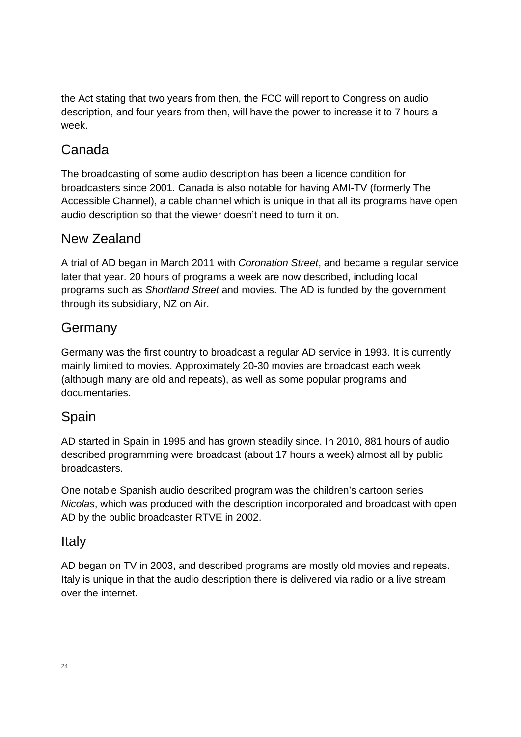the Act stating that two years from then, the FCC will report to Congress on audio description, and four years from then, will have the power to increase it to 7 hours a week.

### Canada

The broadcasting of some audio description has been a licence condition for broadcasters since 2001. Canada is also notable for having AMI-TV (formerly The Accessible Channel), a cable channel which is unique in that all its programs have open audio description so that the viewer doesn't need to turn it on.

### New Zealand

A trial of AD began in March 2011 with *Coronation Street*, and became a regular service later that year. 20 hours of programs a week are now described, including local programs such as *Shortland Street* and movies. The AD is funded by the government through its subsidiary, NZ on Air.

### Germany

Germany was the first country to broadcast a regular AD service in 1993. It is currently mainly limited to movies. Approximately 20-30 movies are broadcast each week (although many are old and repeats), as well as some popular programs and documentaries.

#### Spain

AD started in Spain in 1995 and has grown steadily since. In 2010, 881 hours of audio described programming were broadcast (about 17 hours a week) almost all by public broadcasters.

One notable Spanish audio described program was the children's cartoon series *Nicolas*, which was produced with the description incorporated and broadcast with open AD by the public broadcaster RTVE in 2002.

#### **Italy**

AD began on TV in 2003, and described programs are mostly old movies and repeats. Italy is unique in that the audio description there is delivered via radio or a live stream over the internet.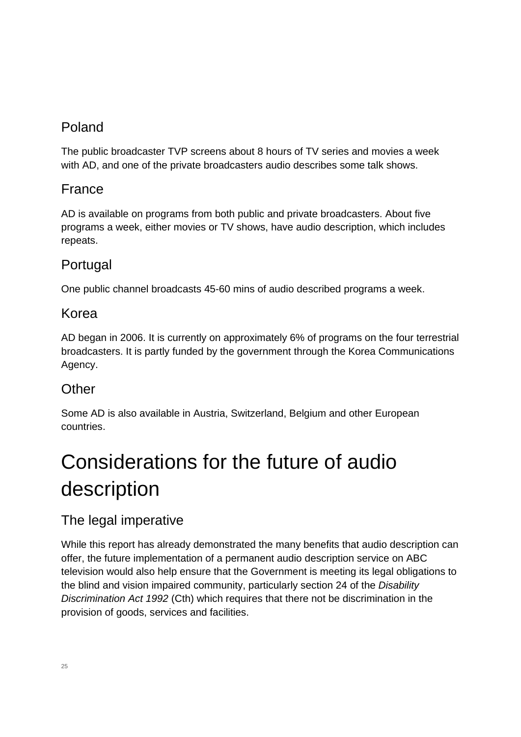## Poland

The public broadcaster TVP screens about 8 hours of TV series and movies a week with AD, and one of the private broadcasters audio describes some talk shows.

### France

AD is available on programs from both public and private broadcasters. About five programs a week, either movies or TV shows, have audio description, which includes repeats.

### Portugal

One public channel broadcasts 45-60 mins of audio described programs a week.

#### Korea

AD began in 2006. It is currently on approximately 6% of programs on the four terrestrial broadcasters. It is partly funded by the government through the Korea Communications Agency.

### **Other**

Some AD is also available in Austria, Switzerland, Belgium and other European countries.

# Considerations for the future of audio description

### The legal imperative

While this report has already demonstrated the many benefits that audio description can offer, the future implementation of a permanent audio description service on ABC television would also help ensure that the Government is meeting its legal obligations to the blind and vision impaired community, particularly section 24 of the *Disability Discrimination Act 1992* (Cth) which requires that there not be discrimination in the provision of goods, services and facilities.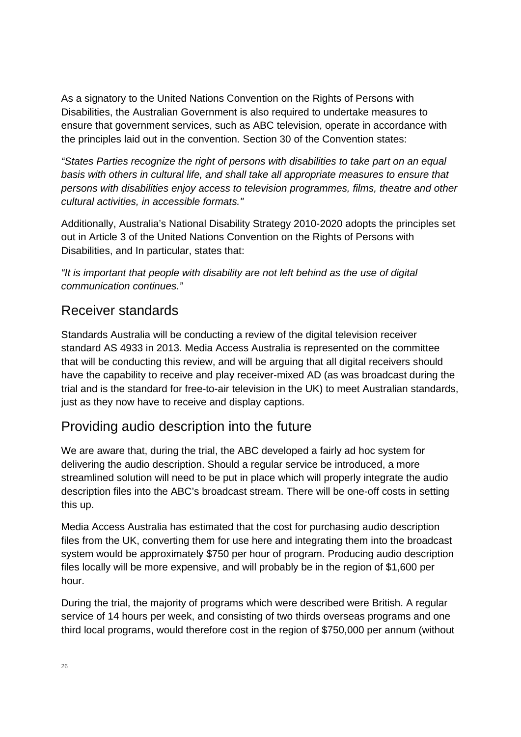As a signatory to the United Nations Convention on the Rights of Persons with Disabilities, the Australian Government is also required to undertake measures to ensure that government services, such as ABC television, operate in accordance with the principles laid out in the convention. Section 30 of the Convention states:

*"States Parties recognize the right of persons with disabilities to take part on an equal basis with others in cultural life, and shall take all appropriate measures to ensure that persons with disabilities enjoy access to television programmes, films, theatre and other cultural activities, in accessible formats."* 

Additionally, Australia's National Disability Strategy 2010-2020 adopts the principles set out in Article 3 of the United Nations Convention on the Rights of Persons with Disabilities, and In particular, states that:

*"It is important that people with disability are not left behind as the use of digital communication continues."*

#### Receiver standards

Standards Australia will be conducting a review of the digital television receiver standard AS 4933 in 2013. Media Access Australia is represented on the committee that will be conducting this review, and will be arguing that all digital receivers should have the capability to receive and play receiver-mixed AD (as was broadcast during the trial and is the standard for free-to-air television in the UK) to meet Australian standards, just as they now have to receive and display captions.

### Providing audio description into the future

We are aware that, during the trial, the ABC developed a fairly ad hoc system for delivering the audio description. Should a regular service be introduced, a more streamlined solution will need to be put in place which will properly integrate the audio description files into the ABC's broadcast stream. There will be one-off costs in setting this up.

Media Access Australia has estimated that the cost for purchasing audio description files from the UK, converting them for use here and integrating them into the broadcast system would be approximately \$750 per hour of program. Producing audio description files locally will be more expensive, and will probably be in the region of \$1,600 per hour.

During the trial, the majority of programs which were described were British. A regular service of 14 hours per week, and consisting of two thirds overseas programs and one third local programs, would therefore cost in the region of \$750,000 per annum (without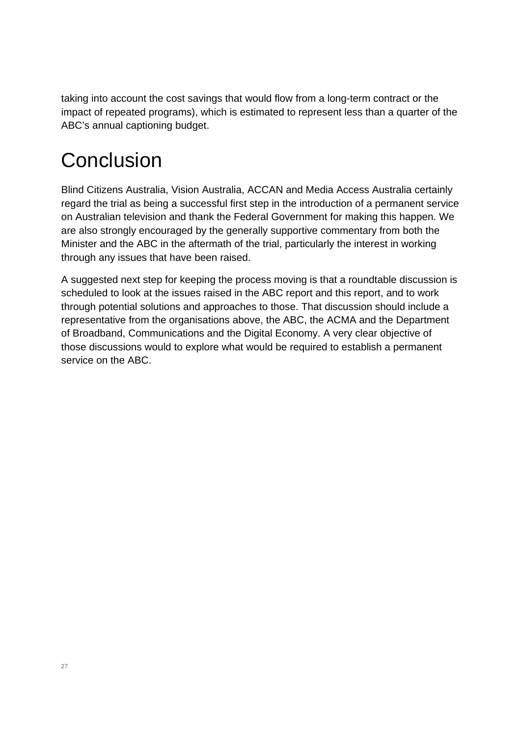taking into account the cost savings that would flow from a long-term contract or the impact of repeated programs), which is estimated to represent less than a quarter of the ABC's annual captioning budget.

## **Conclusion**

Blind Citizens Australia, Vision Australia, ACCAN and Media Access Australia certainly regard the trial as being a successful first step in the introduction of a permanent service on Australian television and thank the Federal Government for making this happen. We are also strongly encouraged by the generally supportive commentary from both the Minister and the ABC in the aftermath of the trial, particularly the interest in working through any issues that have been raised.

A suggested next step for keeping the process moving is that a roundtable discussion is scheduled to look at the issues raised in the ABC report and this report, and to work through potential solutions and approaches to those. That discussion should include a representative from the organisations above, the ABC, the ACMA and the Department of Broadband, Communications and the Digital Economy. A very clear objective of those discussions would to explore what would be required to establish a permanent service on the ABC.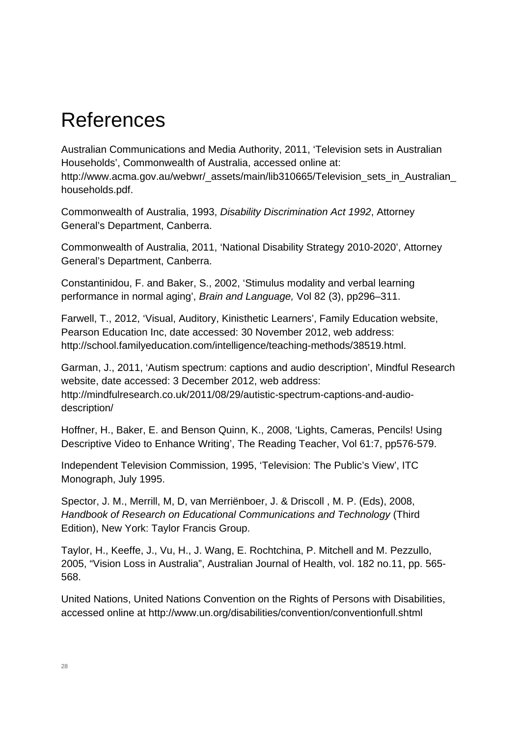## References

Australian Communications and Media Authority, 2011, 'Television sets in Australian Households', Commonwealth of Australia, accessed online at: http://www.acma.gov.au/webwr/\_assets/main/lib310665/Television\_sets\_in\_Australian\_ households.pdf.

Commonwealth of Australia, 1993, *Disability Discrimination Act 1992*, Attorney General's Department, Canberra.

Commonwealth of Australia, 2011, 'National Disability Strategy 2010-2020', Attorney General's Department, Canberra.

Constantinidou, F. and Baker, S., 2002, 'Stimulus modality and verbal learning performance in normal aging', *Brain and Language,* Vol 82 (3), pp296–311.

Farwell, T., 2012, 'Visual, Auditory, Kinisthetic Learners', Family Education website, Pearson Education Inc, date accessed: 30 November 2012, web address: http://school.familyeducation.com/intelligence/teaching-methods/38519.html.

Garman, J., 2011, 'Autism spectrum: captions and audio description', Mindful Research website, date accessed: 3 December 2012, web address: http://mindfulresearch.co.uk/2011/08/29/autistic-spectrum-captions-and-audiodescription/

Hoffner, H., Baker, E. and Benson Quinn, K., 2008, 'Lights, Cameras, Pencils! Using Descriptive Video to Enhance Writing', The Reading Teacher, Vol 61:7, pp576-579.

Independent Television Commission, 1995, 'Television: The Public's View', ITC Monograph, July 1995.

Spector, J. M., Merrill, M, D, van Merriënboer, J. & Driscoll , M. P. (Eds), 2008, *Handbook of Research on Educational Communications and Technology* (Third Edition), New York: Taylor Francis Group.

Taylor, H., Keeffe, J., Vu, H., J. Wang, E. Rochtchina, P. Mitchell and M. Pezzullo, 2005, "Vision Loss in Australia", Australian Journal of Health, vol. 182 no.11, pp. 565- 568.

United Nations, United Nations Convention on the Rights of Persons with Disabilities, accessed online at http://www.un.org/disabilities/convention/conventionfull.shtml